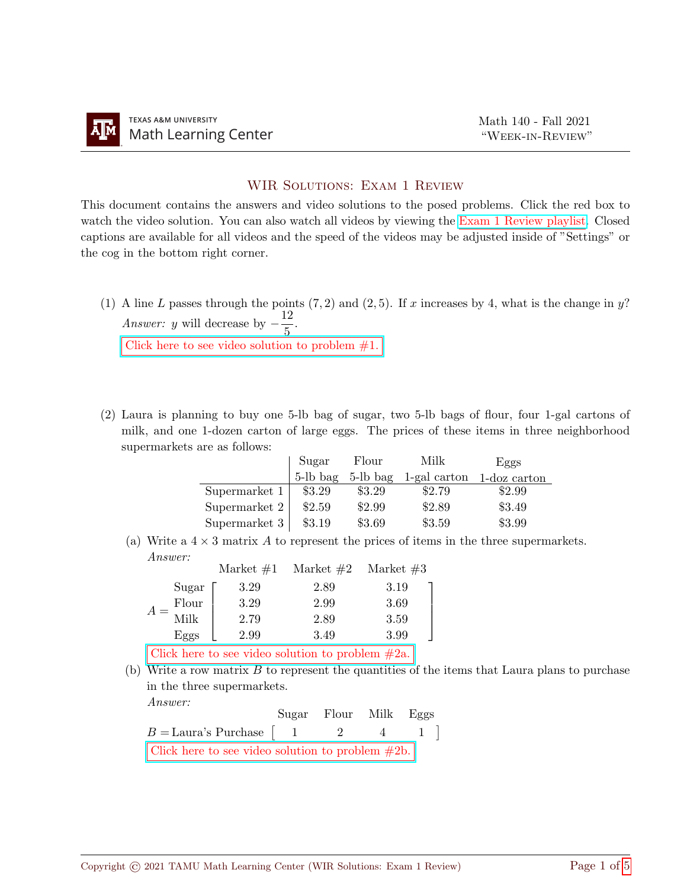## WIR SOLUTIONS: EXAM 1 REVIEW

This document contains the answers and video solutions to the posed problems. Click the red box to watch the video solution. You can also watch all videos by viewing the [Exam 1 Review playlist.](https://youtube.com/playlist?list=PLwFg2cC3rFdnrmkp9VIG6rdtLXDik71wE) Closed captions are available for all videos and the speed of the videos may be adjusted inside of "Settings" or the cog in the bottom right corner.

(1) A line L passes through the points  $(7, 2)$  and  $(2, 5)$ . If x increases by 4, what is the change in y? Answer: y will decrease by  $-\frac{12}{5}$  $\frac{2}{5}$ .

Click here to see video solution to problem  $#1$ .

(2) Laura is planning to buy one 5-lb bag of sugar, two 5-lb bags of flour, four 1-gal cartons of milk, and one 1-dozen carton of large eggs. The prices of these items in three neighborhood supermarkets are as follows:

|                 | Sugar    | Flour    | Milk         | Eggs         |
|-----------------|----------|----------|--------------|--------------|
|                 | 5-lb bag | 5-lb bag | 1-gal carton | 1-doz carton |
| Supermarket $1$ | \$3.29   | \$3.29   | \$2.79       | \$2.99       |
| Supermarket 2   | \$2.59   | \$2.99   | \$2.89       | \$3.49       |
| Supermarket 3   | \$3.19   | \$3.69   | \$3.59       | \$3.99       |

(a) Write a  $4 \times 3$  matrix A to represent the prices of items in the three supermarkets. Answer:

|       | Market $#1$ | Market $#2$ | Market $#3$ |
|-------|-------------|-------------|-------------|
| Sugar | 3.29        | 2.89        | 3.19        |
| Flour | 3.29        | 2.99        | 3.69        |
| Milk  | 2.79        | 2.89        | 3.59        |
| Eggs  | 2.99        | 3.49        | 3.99        |
|       |             |             |             |

[Click here to see video solution to problem #2a.](https://www.youtube.com/watch?v=Pgt7Eh2CPVA)

(b) Write a row matrix  $B$  to represent the quantities of the items that Laura plans to purchase in the three supermarkets.  $A$ nswer:

| $11100 \, WU$                                      |  | Sugar Flour Milk Eggs |  |
|----------------------------------------------------|--|-----------------------|--|
| $B =$ Laura's Purchase   1 2 4 1                   |  |                       |  |
| Click here to see video solution to problem $#2b.$ |  |                       |  |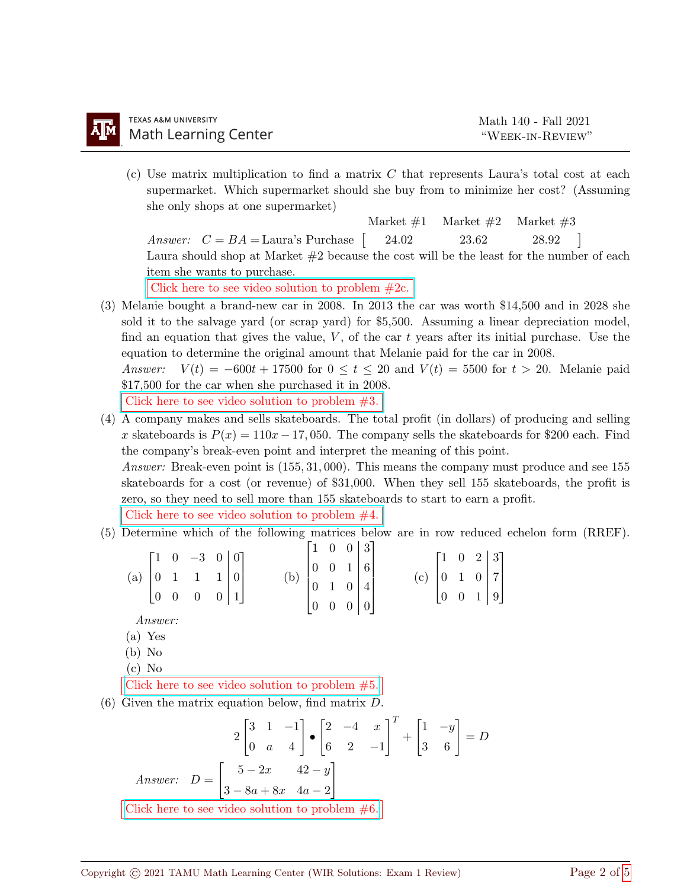(c) Use matrix multiplication to find a matrix C that represents Laura's total cost at each supermarket. Which supermarket should she buy from to minimize her cost? (Assuming she only shops at one supermarket)

*Answer:*  $C = BA = \text{Laura's}$  Purchase  $\begin{bmatrix} 24.02 & 23.62 & 28.92 \end{bmatrix}$ Market  $\#1$  Market  $\#2$  Market  $\#3$ Laura should shop at Market  $#2$  because the cost will be the least for the number of each item she wants to purchase.

[Click here to see video solution to problem #2c.](https://www.youtube.com/watch?v=Pgt7Eh2CPVA)

(3) Melanie bought a brand-new car in 2008. In 2013 the car was worth \$14,500 and in 2028 she sold it to the salvage yard (or scrap yard) for \$5,500. Assuming a linear depreciation model, find an equation that gives the value,  $V$ , of the car t years after its initial purchase. Use the equation to determine the original amount that Melanie paid for the car in 2008.

Answer:  $V(t) = -600t + 17500$  for  $0 \le t \le 20$  and  $V(t) = 5500$  for  $t > 20$ . Melanie paid \$17,500 for the car when she purchased it in 2008.

[Click here to see video solution to problem #3.](https://youtu.be/8rJtSCMS2KM)

(4) A company makes and sells skateboards. The total profit (in dollars) of producing and selling x skateboards is  $P(x) = 110x - 17,050$ . The company sells the skateboards for \$200 each. Find the company's break-even point and interpret the meaning of this point.

Answer: Break-even point is (155, 31, 000). This means the company must produce and see 155 skateboards for a cost (or revenue) of \$31,000. When they sell 155 skateboards, the profit is zero, so they need to sell more than 155 skateboards to start to earn a profit.

[Click here to see video solution to problem #4.](https://youtu.be/yYKk87Mw9Mk)

(5) Determine which of the following matrices below are in row reduced echelon form (RREF).

|  | (a) $\begin{bmatrix} 1 & 0 & -3 & 0 & 0 \\ 0 & 1 & 1 & 1 & 0 \\ 0 & 0 & 0 & 0 & 1 \end{bmatrix}$ |  |                                                                                                      |  |  | (c) $\begin{bmatrix} 1 & 0 & 2 &   & 3 \\ 0 & 1 & 0 &   & 7 \\ 0 & 0 & 1 &   & 9 \end{bmatrix}$ |  |  |  |
|--|--------------------------------------------------------------------------------------------------|--|------------------------------------------------------------------------------------------------------|--|--|-------------------------------------------------------------------------------------------------|--|--|--|
|  |                                                                                                  |  |                                                                                                      |  |  |                                                                                                 |  |  |  |
|  |                                                                                                  |  | (b) $\begin{bmatrix} 1 & 0 & 0 & 3 \\ 0 & 0 & 1 & 6 \\ 0 & 1 & 0 & 4 \\ 0 & 0 & 0 & 0 \end{bmatrix}$ |  |  |                                                                                                 |  |  |  |

Answer:

- (a) Yes
- (b) No
- (c) No

[Click here to see video solution to problem #5.](https://youtu.be/Tv6jVvwvQ5M)

(6) Given the matrix equation below, find matrix D.

$$
2\begin{bmatrix} 3 & 1 & -1 \\ 0 & a & 4 \end{bmatrix} \bullet \begin{bmatrix} 2 & -4 & x \\ 6 & 2 & -1 \end{bmatrix}^T + \begin{bmatrix} 1 & -y \\ 3 & 6 \end{bmatrix} = D
$$
  
Answer: 
$$
D = \begin{bmatrix} 5 - 2x & 42 - y \\ 3 - 8a + 8x & 4a - 2 \end{bmatrix}
$$
  
Click here to see video solution to problem #6.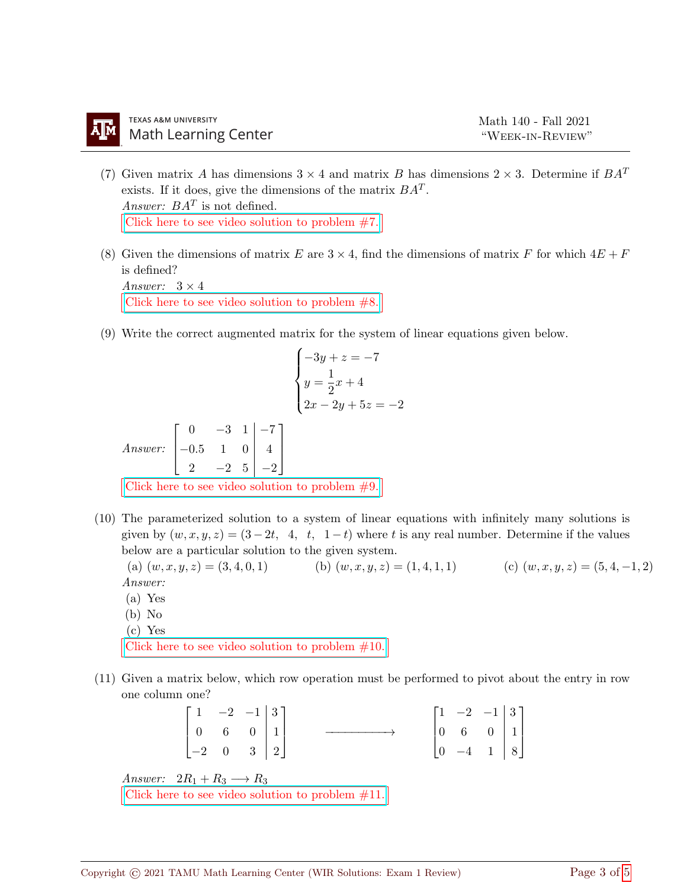- (7) Given matrix A has dimensions  $3 \times 4$  and matrix B has dimensions  $2 \times 3$ . Determine if  $BA^T$ exists. If it does, give the dimensions of the matrix  $BA<sup>T</sup>$ . Answer:  $BA<sup>T</sup>$  is not defined. [Click here to see video solution to problem #7.](https://youtu.be/6-pAfKFjr-4)
- (8) Given the dimensions of matrix E are  $3 \times 4$ , find the dimensions of matrix F for which  $4E + F$ is defined? Answer:  $3 \times 4$

[Click here to see video solution to problem #8.](https://youtu.be/b1Ue9TPRd64)

(9) Write the correct augmented matrix for the system of linear equations given below.

$$
\begin{cases}\n-3y + z = -7 \\
y = \frac{1}{2}x + 4 \\
2x - 2y + 5z = -2\n\end{cases}
$$
\nAnswer: 
$$
\begin{bmatrix}\n0 & -3 & 1 & | & -7 \\
-0.5 & 1 & 0 & | & 4 \\
2 & -2 & 5 & | & -2\n\end{bmatrix}
$$
\nClick here to see video solution to problem #9.

(10) The parameterized solution to a system of linear equations with infinitely many solutions is given by  $(w, x, y, z) = (3 - 2t, 4, t, 1 - t)$  where t is any real number. Determine if the values below are a particular solution to the given system.

(a)  $(w, x, y, z) = (3, 4, 0, 1)$  (b)  $(w, x, y, z) = (1, 4, 1, 1)$  (c)  $(w, x, y, z) = (5, 4, -1, 2)$ Answer:

- (a) Yes
- (b) No
- (c) Yes

[Click here to see video solution to problem #10.](https://youtu.be/uJ4p61ImMDc)

(11) Given a matrix below, which row operation must be performed to pivot about the entry in row one column one?

| $\begin{bmatrix} 1 & -2 & -1 & 3 \\ 0 & 6 & 0 & 1 \\ -2 & 0 & 3 & 2 \end{bmatrix}$ |  |                                                     | $\begin{bmatrix} 1 & -2 & -1 & 3 \\ 0 & 6 & 0 & 1 \\ 0 & -4 & 1 & 8 \end{bmatrix}$ |  |  |
|------------------------------------------------------------------------------------|--|-----------------------------------------------------|------------------------------------------------------------------------------------|--|--|
| Answer: $2R_1 + R_3 \longrightarrow R_3$                                           |  |                                                     |                                                                                    |  |  |
|                                                                                    |  | Click here to see video solution to problem $#11$ . |                                                                                    |  |  |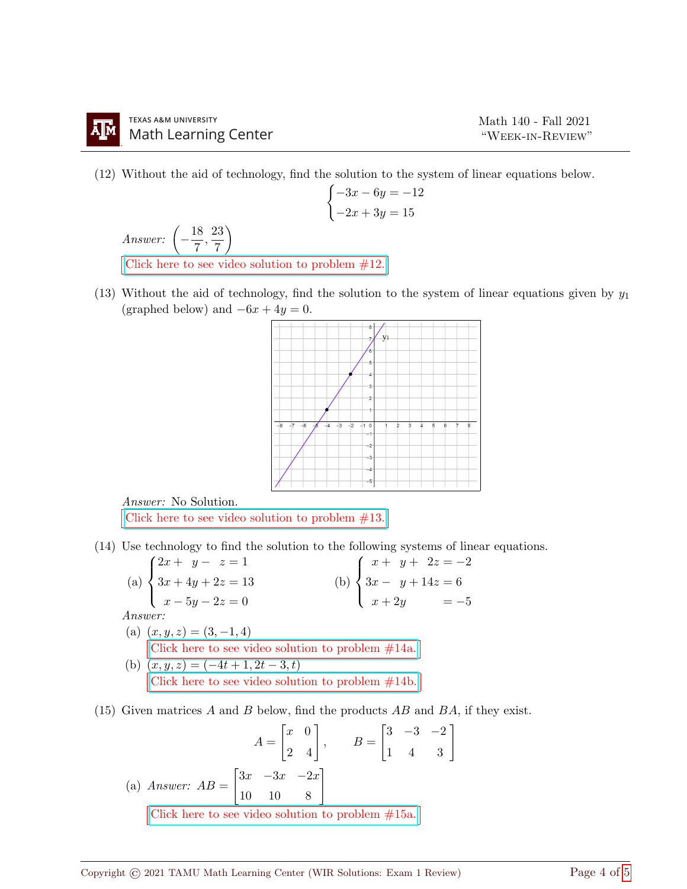(12) Without the aid of technology, find the solution to the system of linear equations below.

$$
\begin{cases}\n-3x - 6y = -12 \\
-2x + 3y = 15\n\end{cases}
$$
\nAnswer:  $\left(-\frac{18}{7}, \frac{23}{7}\right)$   
\nClick here to see video solution to problem #12.

(13) Without the aid of technology, find the solution to the system of linear equations given by  $y_1$ (graphed below) and  $-6x + 4y = 0$ .



Answer: No Solution. [Click here to see video solution to problem #13.](https://youtu.be/1KFuoe22FYk)

- (14) Use technology to find the solution to the following systems of linear equations.
	- (a)  $\sqrt{ }$  $\int$  $\overline{\mathcal{L}}$  $2x + y - z = 1$  $3x + 4y + 2z = 13$  $x - 5y - 2z = 0$ (b)  $\sqrt{ }$  $\int$  $\overline{\mathcal{L}}$  $x + y + 2z = -2$  $3x - y + 14z = 6$  $x + 2y = -5$ Answer: (a)  $(x, y, z) = (3, -1, 4)$ [Click here to see video solution to problem #14a.](https://youtu.be/waqqs1Tg1zs) (b)  $(x, y, z) = (-4t + 1, 2t - 3, t)$ [Click here to see video solution to problem #14b.](https://youtu.be/lgIesFLx7Bc)
- (15) Given matrices A and B below, find the products  $AB$  and  $BA$ , if they exist.

$$
A = \begin{bmatrix} x & 0 \\ 2 & 4 \end{bmatrix}, \qquad B = \begin{bmatrix} 3 & -3 & -2 \\ 1 & 4 & 3 \end{bmatrix}
$$
  
(a) Answer:  $AB = \begin{bmatrix} 3x & -3x & -2x \\ 10 & 10 & 8 \end{bmatrix}$   
Click here to see video solution to problem #15a.